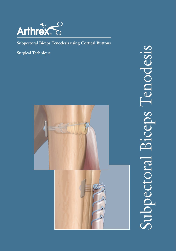

**Subpectoral Biceps Tenodesis using Cortical Buttons** 

**Surgical Technique**



Subpectoral Biceps Tenodesis Subpectoral Biceps Tenodesis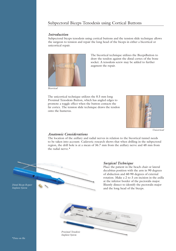## Subpectoral Biceps Tenodesis using Cortical Buttons

#### *Introduction*

Subpectoral biceps tenodesis using cortical buttons and the tension slide technique allows the surgeon to tension and repair the long head of the biceps in either a bicortical or unicortical repair.



*Bicortical*

draw the tendon against the distal cortex of the bone socket. A tenodesis screw may be added to further augment the repair.

The bicortical technique utilizes the BicepsButton to

The unicortical technique utilizes the 8.5 mm long Proximal Tenodesis Button, which has angled edges to promote a toggle effect when the button contacts the far cortex. The tension slide technique draws the tendon onto the humerus.



*Unicortical*

### *Anatomic Considerations*

The location of the axillary and radial nerves in relation to the bicortical tunnel needs to be taken into account. Cadaveric research shows that when drilling in the subpectoral region, the drill hole is at a mean of 36.7 mm from the axillary nerve and 48 mm from the radial nerve.\*

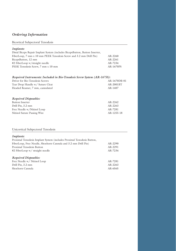# *Ordering Information*

### Bicortical Subpectoral Tenodesis

| Implants:                                                                    |           |
|------------------------------------------------------------------------------|-----------|
| Distal Biceps Repair Implant System (includes BicepsButton, Button Inserter, |           |
| FiberLoop, 7 mm x 10 mm PEEK Tenodesis Screw and 3.2 mm Drill Pin)           | AR-2260   |
| BicepsButton, 12 mm                                                          | AR-2261   |
| #2 FiberLoop w/straight needle                                               | AR-7234   |
| PEEK Tenodesis Screw, 7 mm x 10 mm                                           | AR-1670PS |

| Required Instruments: Included in Bio-Tenodesis Screw System (AR-1675S): |              |
|--------------------------------------------------------------------------|--------------|
| Driver for Bio-Tenodesis Screws                                          | AR-1670DB-01 |
| Tear Drop Handle w/ Suture Cleat                                         | AR-2001BT    |
| Headed Reamer, 7 mm, cannulated                                          | AR-1407      |
|                                                                          |              |

| $AR-2262$  |
|------------|
| $AR-2263$  |
| AR-7281    |
| AR-1255-18 |
|            |

## Unicortical Subpectoral Tenodesis

## *Implants:*

| Proximal Tenodesis Implant System (includes Proximal Tenodesis Button, |         |
|------------------------------------------------------------------------|---------|
| FiberLoop, Free Needle, Shoehorn Cannula and 3.2 mm Drill Pin)         | AR-2290 |
| Proximal Tenodesis Button                                              | AR-2291 |
| #2 FiberLoop w/ straight needle                                        | AR-7234 |
|                                                                        |         |
| <b>Required Disposables:</b>                                           |         |
| Free Needle w/ Nitinol Loop                                            | AR-7281 |
| Drill Pin, 3.2 mm                                                      | AR-2263 |
| Shoehorn Cannula                                                       | AR-6565 |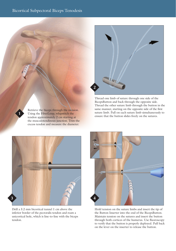

Thread one limb of suture through one side of the BicepsButton and back through the opposite side. Thread the other suture limb through the button in the same manner, starting on the opposite side of the first suture limb. Pull on each suture limb simultaneously to ensure that the button slides freely on the sutures.



Retrieve the biceps through the incision. Using the FiberLoop, whipstitch the tendon approximately 2 cm starting at the musculotendinous junction. Trim the excess tendon and measure the diameter.

**1**

Drill a 3.2 mm bicortical tunnel 1 cm above the inferior border of the pectoralis tendon and ream a unicortical hole, which is line-to-line with the biceps tendon.



Hold tension on the suture limbs and insert the tip of the Button Inserter into the end of the BicepsButton. Maintain tension on the sutures and insert the button through both cortices of the humerus. Use fluoroscopy to verify that the button is properly deployed. Pull back on the lever on the inserter to release the button.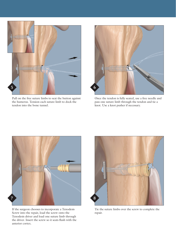

Pull on the free suture limbs to seat the button against the humerus. Tension each suture limb to dock the tendon into the bone tunnel.



Once the tendon is fully seated, use a free needle and pass one suture limb through the tendon and tie a knot. Use a knot pusher if necessary.



If the surgeon chooses to incorporate a Tenodesis Screw into the repair, load the screw onto the Tenodesis driver and load one suture limb through the driver. Insert the screw so it seats flush with the anterior cortex.



Tie the suture limbs over the screw to complete the repair.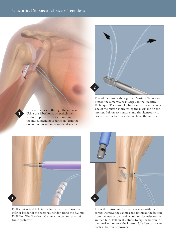

Thread the sutures through the Proximal Tenodesis Button the same way as in Step 2 in the Bicortical Technique. The suture limbs should exit on the long side of the button indicated by the black line on the inserter. Pull on each suture limb simultaneously to ensure that the button slides freely on the sutures.



Retrieve the biceps through the incision. Using the FiberLoop, whipstitch the tendon approximately 2 cm starting at the musculotendinous junction. Trim the excess tendon and measure the diameter.

**1**

Drill a unicortical hole in the humerus 1 cm above the inferior border of the pectoralis tendon using the 3.2 mm Drill Pin. The Shoehorn Cannula can be used as a soft tissue protector.



Insert the button until it makes contact with the far cortex. Remove the cannula and unthread the button from the inserter by turning counterclockwise on the knurled hub. Pull on all sutures to flip the button in the canal and remove the inserter. Use fluoroscopy to confirm button deployment.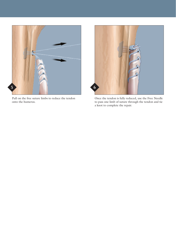

Pull on the free suture limbs to reduce the tendon onto the humerus.



Once the tendon is fully reduced, use the Free Needle to pass one limb of suture through the tendon and tie a knot to complete the repair.